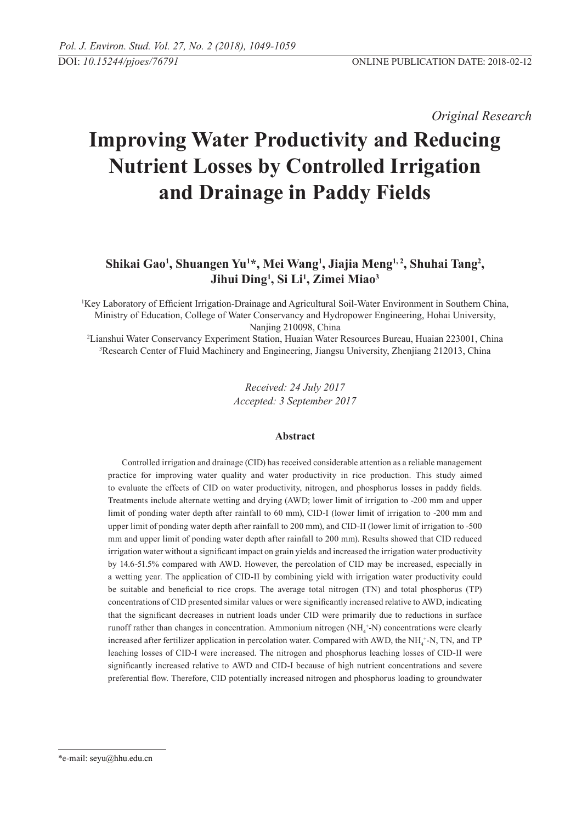*Original Research* 

# **Improving Water Productivity and Reducing Nutrient Losses by Controlled Irrigation and Drainage in Paddy Fields**

# **Shikai Gao1 , Shuangen Yu1 \*, Mei Wang1 , Jiajia Meng1, 2, Shuhai Tang2 , Jihui Ding1 , Si Li1 , Zimei Miao3**

1 Key Laboratory of Efficient Irrigation-Drainage and Agricultural Soil-Water Environment in Southern China, Ministry of Education, College of Water Conservancy and Hydropower Engineering, Hohai University, Nanjing 210098, China

2 Lianshui Water Conservancy Experiment Station, Huaian Water Resources Bureau, Huaian 223001, China 3 Research Center of Fluid Machinery and Engineering, Jiangsu University, Zhenjiang 212013, China

> *Received: 24 July 2017 Accepted: 3 September 2017*

# **Abstract**

Controlled irrigation and drainage (CID) has received considerable attention as a reliable management practice for improving water quality and water productivity in rice production. This study aimed to evaluate the effects of CID on water productivity, nitrogen, and phosphorus losses in paddy fields. Treatments include alternate wetting and drying (AWD; lower limit of irrigation to -200 mm and upper limit of ponding water depth after rainfall to 60 mm), CID-I (lower limit of irrigation to -200 mm and upper limit of ponding water depth after rainfall to 200 mm), and CID-II (lower limit of irrigation to -500 mm and upper limit of ponding water depth after rainfall to 200 mm). Results showed that CID reduced irrigation water without a significant impact on grain yields and increased the irrigation water productivity by 14.6-51.5% compared with AWD. However, the percolation of CID may be increased, especially in a wetting year. The application of CID-II by combining yield with irrigation water productivity could be suitable and beneficial to rice crops. The average total nitrogen (TN) and total phosphorus (TP) concentrations of CID presented similar values or were significantly increased relative to AWD, indicating that the significant decreases in nutrient loads under CID were primarily due to reductions in surface runoff rather than changes in concentration. Ammonium nitrogen (NH<sub>4</sub><sup>+</sup>-N) concentrations were clearly increased after fertilizer application in percolation water. Compared with AWD, the  $NH_4^+$ -N, TN, and TP leaching losses of CID-I were increased. The nitrogen and phosphorus leaching losses of CID-II were significantly increased relative to AWD and CID-I because of high nutrient concentrations and severe preferential flow. Therefore, CID potentially increased nitrogen and phosphorus loading to groundwater

<sup>\*</sup>e-mail: seyu@hhu.edu.cn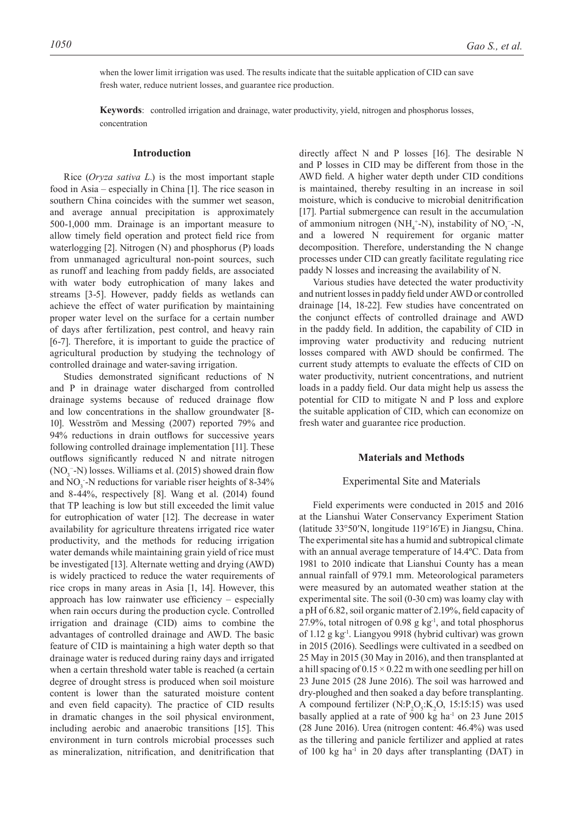when the lower limit irrigation was used. The results indicate that the suitable application of CID can save fresh water, reduce nutrient losses, and guarantee rice production.

**Keywords**: controlled irrigation and drainage, water productivity, yield, nitrogen and phosphorus losses, concentration

#### **Introduction**

Rice (*Oryza sativa L.*) is the most important staple food in Asia – especially in China [1]. The rice season in southern China coincides with the summer wet season, and average annual precipitation is approximately 500-1,000 mm. Drainage is an important measure to allow timely field operation and protect field rice from waterlogging [2]. Nitrogen (N) and phosphorus (P) loads from unmanaged agricultural non-point sources, such as runoff and leaching from paddy fields, are associated with water body eutrophication of many lakes and streams [3-5]. However, paddy fields as wetlands can achieve the effect of water purification by maintaining proper water level on the surface for a certain number of days after fertilization, pest control, and heavy rain [6-7]. Therefore, it is important to guide the practice of agricultural production by studying the technology of controlled drainage and water-saving irrigation.

Studies demonstrated significant reductions of N and P in drainage water discharged from controlled drainage systems because of reduced drainage flow and low concentrations in the shallow groundwater [8- 10]. Wesström and Messing (2007) reported 79% and 94% reductions in drain outflows for successive years following controlled drainage implementation [11]. These outflows significantly reduced N and nitrate nitrogen  $(NO<sub>3</sub><sup>-</sup>-N)$  losses. Williams et al. (2015) showed drain flow and  $NO_3$ -N reductions for variable riser heights of 8-34% and 8-44%, respectively [8]. Wang et al. (2014) found that TP leaching is low but still exceeded the limit value for eutrophication of water [12]. The decrease in water availability for agriculture threatens irrigated rice water productivity, and the methods for reducing irrigation water demands while maintaining grain yield of rice must be investigated [13]. Alternate wetting and drying (AWD) is widely practiced to reduce the water requirements of rice crops in many areas in Asia [1, 14]. However, this approach has low rainwater use efficiency – especially when rain occurs during the production cycle. Controlled irrigation and drainage (CID) aims to combine the advantages of controlled drainage and AWD. The basic feature of CID is maintaining a high water depth so that drainage water is reduced during rainy days and irrigated when a certain threshold water table is reached (a certain degree of drought stress is produced when soil moisture content is lower than the saturated moisture content and even field capacity). The practice of CID results in dramatic changes in the soil physical environment, including aerobic and anaerobic transitions [15]. This environment in turn controls microbial processes such as mineralization, nitrification, and denitrification that

directly affect N and P losses [16]. The desirable N and P losses in CID may be different from those in the AWD field. A higher water depth under CID conditions is maintained, thereby resulting in an increase in soil moisture, which is conducive to microbial denitrification [17]. Partial submergence can result in the accumulation of ammonium nitrogen ( $NH_4^+$ -N), instability of  $NO_3^-$ -N, and a lowered N requirement for organic matter decomposition. Therefore, understanding the N change processes under CID can greatly facilitate regulating rice paddy N losses and increasing the availability of N.

Various studies have detected the water productivity and nutrient losses in paddy field under AWD or controlled drainage [14, 18-22]. Few studies have concentrated on the conjunct effects of controlled drainage and AWD in the paddy field. In addition, the capability of CID in improving water productivity and reducing nutrient losses compared with AWD should be confirmed. The current study attempts to evaluate the effects of CID on water productivity, nutrient concentrations, and nutrient loads in a paddy field. Our data might help us assess the potential for CID to mitigate N and P loss and explore the suitable application of CID, which can economize on fresh water and guarantee rice production.

# **Materials and Methods**

#### Experimental Site and Materials

Field experiments were conducted in 2015 and 2016 at the Lianshui Water Conservancy Experiment Station (latitude 33°50′N, longitude 119°16′E) in Jiangsu, China. The experimental site has a humid and subtropical climate with an annual average temperature of 14.4ºC. Data from 1981 to 2010 indicate that Lianshui County has a mean annual rainfall of 979.1 mm. Meteorological parameters were measured by an automated weather station at the experimental site. The soil (0-30 cm) was loamy clay with a pH of 6.82, soil organic matter of 2.19%, field capacity of 27.9%, total nitrogen of 0.98 g  $kg<sup>-1</sup>$ , and total phosphorus of 1.12 g kg-1. Liangyou 9918 (hybrid cultivar) was grown in 2015 (2016). Seedlings were cultivated in a seedbed on 25 May in 2015 (30 May in 2016), and then transplanted at a hill spacing of  $0.15 \times 0.22$  m with one seedling per hill on 23 June 2015 (28 June 2016). The soil was harrowed and dry-ploughed and then soaked a day before transplanting. A compound fertilizer  $(N.P_2O_5:K_2O, 15:15:15)$  was used basally applied at a rate of 900 kg ha<sup>-1</sup> on 23 June 2015 (28 June 2016). Urea (nitrogen content: 46.4%) was used as the tillering and panicle fertilizer and applied at rates of 100 kg ha<sup>-1</sup> in 20 days after transplanting (DAT) in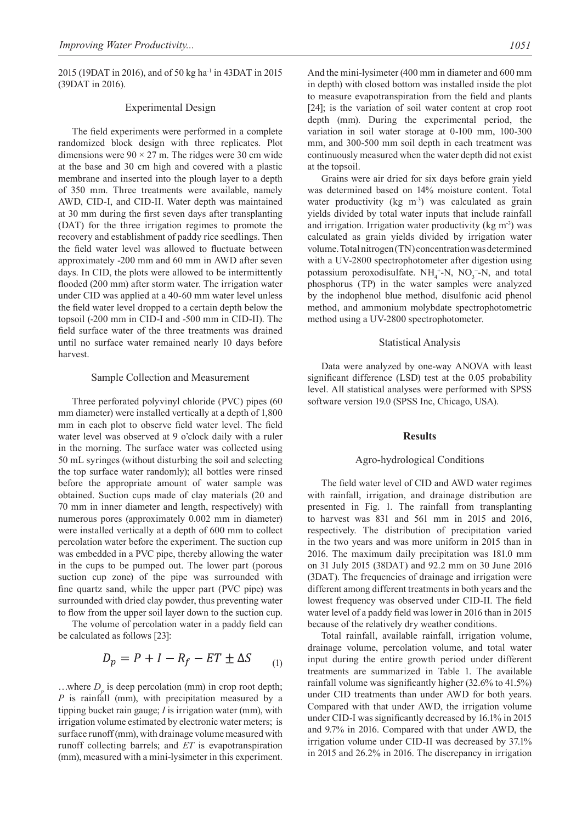2015 (19DAT in 2016), and of 50 kg ha<sup>-1</sup> in 43DAT in 2015 (39DAT in 2016).

#### Experimental Design

The field experiments were performed in a complete randomized block design with three replicates. Plot dimensions were  $90 \times 27$  m. The ridges were 30 cm wide at the base and 30 cm high and covered with a plastic membrane and inserted into the plough layer to a depth of 350 mm. Three treatments were available, namely AWD, CID-I, and CID-II. Water depth was maintained at 30 mm during the first seven days after transplanting (DAT) for the three irrigation regimes to promote the recovery and establishment of paddy rice seedlings. Then the field water level was allowed to fluctuate between approximately -200 mm and 60 mm in AWD after seven days. In CID, the plots were allowed to be intermittently flooded (200 mm) after storm water. The irrigation water under CID was applied at a 40-60 mm water level unless the field water level dropped to a certain depth below the topsoil (-200 mm in CID-I and -500 mm in CID-II). The field surface water of the three treatments was drained until no surface water remained nearly 10 days before harvest.

### Sample Collection and Measurement

Three perforated polyvinyl chloride (PVC) pipes (60 mm diameter) were installed vertically at a depth of 1,800 mm in each plot to observe field water level. The field water level was observed at 9 o'clock daily with a ruler in the morning. The surface water was collected using 50 mL syringes (without disturbing the soil and selecting the top surface water randomly); all bottles were rinsed before the appropriate amount of water sample was obtained. Suction cups made of clay materials (20 and 70 mm in inner diameter and length, respectively) with numerous pores (approximately 0.002 mm in diameter) were installed vertically at a depth of 600 mm to collect percolation water before the experiment. The suction cup was embedded in a PVC pipe, thereby allowing the water in the cups to be pumped out. The lower part (porous suction cup zone) of the pipe was surrounded with fine quartz sand, while the upper part (PVC pipe) was surrounded with dried clay powder, thus preventing water to flow from the upper soil layer down to the suction cup.

The volume of percolation water in a paddy field can be calculated as follows [23]:

$$
D_p = P + I - R_f - ET \pm \Delta S \tag{1}
$$

...where  $D<sub>a</sub>$  is deep percolation (mm) in crop root depth; *P* is rainfall (mm), with precipitation measured by a tipping bucket rain gauge; *I* is irrigation water (mm), with irrigation volume estimated by electronic water meters; is surface runoff (mm), with drainage volume measured with runoff collecting barrels; and *ET* is evapotranspiration (mm), measured with a mini-lysimeter in this experiment.

And the mini-lysimeter (400 mm in diameter and 600 mm in depth) with closed bottom was installed inside the plot to measure evapotranspiration from the field and plants [24]; is the variation of soil water content at crop root depth (mm). During the experimental period, the variation in soil water storage at 0-100 mm, 100-300 mm, and 300-500 mm soil depth in each treatment was continuously measured when the water depth did not exist at the topsoil.

Grains were air dried for six days before grain yield was determined based on 14% moisture content. Total water productivity (kg m<sup>-3</sup>) was calculated as grain yields divided by total water inputs that include rainfall and irrigation. Irrigation water productivity ( $kg \, \text{m}$ <sup>3</sup>) was calculated as grain yields divided by irrigation water volume. Total nitrogen (TN) concentration was determined with a UV-2800 spectrophotometer after digestion using potassium peroxodisulfate.  $NH_4^+$ -N, NO<sub>3</sub>-N, and total phosphorus (TP) in the water samples were analyzed by the indophenol blue method, disulfonic acid phenol method, and ammonium molybdate spectrophotometric method using a UV-2800 spectrophotometer.

#### Statistical Analysis

Data were analyzed by one-way ANOVA with least significant difference (LSD) test at the 0.05 probability level. All statistical analyses were performed with SPSS software version 19.0 (SPSS Inc, Chicago, USA).

## **Results**

# Agro-hydrological Conditions

The field water level of CID and AWD water regimes with rainfall, irrigation, and drainage distribution are presented in Fig. 1. The rainfall from transplanting to harvest was 831 and 561 mm in 2015 and 2016, respectively. The distribution of precipitation varied in the two years and was more uniform in 2015 than in 2016. The maximum daily precipitation was 181.0 mm on 31 July 2015 (38DAT) and 92.2 mm on 30 June 2016 (3DAT). The frequencies of drainage and irrigation were different among different treatments in both years and the lowest frequency was observed under CID-II. The field water level of a paddy field was lower in 2016 than in 2015 because of the relatively dry weather conditions.

Total rainfall, available rainfall, irrigation volume, drainage volume, percolation volume, and total water input during the entire growth period under different treatments are summarized in Table 1. The available rainfall volume was significantly higher (32.6% to 41.5%) under CID treatments than under AWD for both years. Compared with that under AWD, the irrigation volume under CID-I was significantly decreased by 16.1% in 2015 and 9.7% in 2016. Compared with that under AWD, the irrigation volume under CID-II was decreased by 37.1% in 2015 and 26.2% in 2016. The discrepancy in irrigation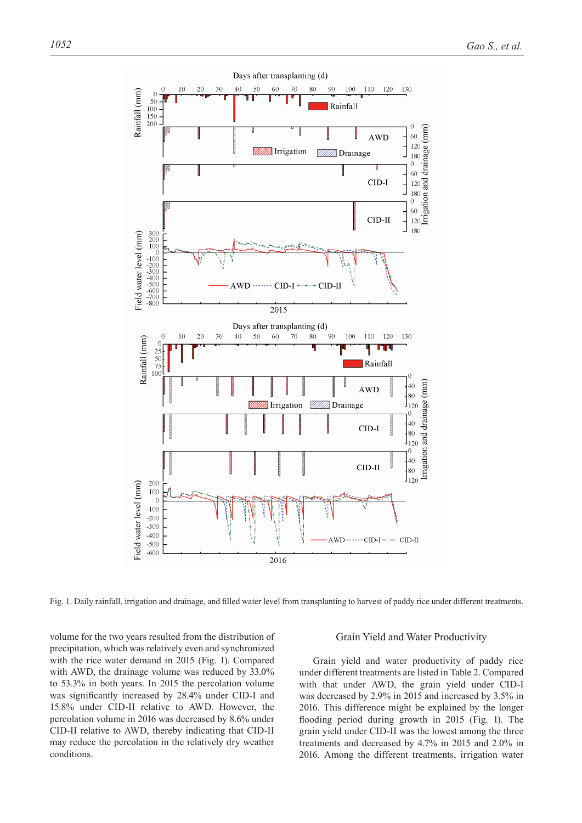

Fig. 1. Daily rainfall, irrigation and drainage, and filled water level from transplanting to harvest of paddy rice under different treatments.

volume for the two years resulted from the distribution of precipitation, which was relatively even and synchronized with the rice water demand in 2015 (Fig. 1). Compared with AWD, the drainage volume was reduced by 33.0% to 53.3% in both years. In 2015 the percolation volume was significantly increased by 28.4% under CID-I and 15.8% under CID-II relative to AWD. However, the percolation volume in 2016 was decreased by 8.6% under CID-II relative to AWD, thereby indicating that CID-II may reduce the percolation in the relatively dry weather conditions.

# Grain Yield and Water Productivity

Grain yield and water productivity of paddy rice under different treatments are listed in Table 2. Compared with that under AWD, the grain yield under CID-I was decreased by 2.9% in 2015 and increased by 3.5% in 2016. This difference might be explained by the longer flooding period during growth in 2015 (Fig. 1). The grain yield under CID-II was the lowest among the three treatments and decreased by 4.7% in 2015 and 2.0% in 2016. Among the different treatments, irrigation water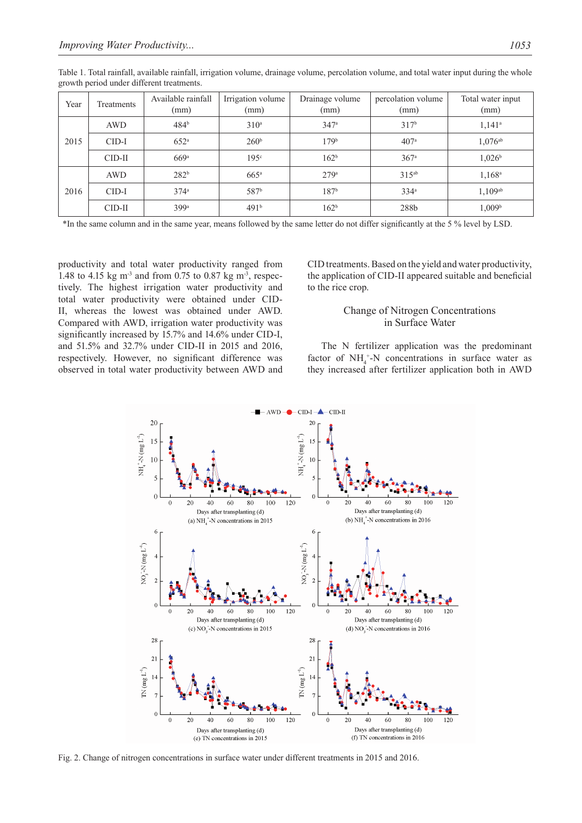| Year | Treatments | Available rainfall<br>(mm) | Irrigation volume<br>(mm) | Drainage volume<br>(mm) | percolation volume<br>(mm) | Total water input<br>(mm) |  |
|------|------------|----------------------------|---------------------------|-------------------------|----------------------------|---------------------------|--|
| 2015 | <b>AWD</b> | 484 <sup>b</sup>           | 310 <sup>a</sup>          | 347a                    | 317 <sup>b</sup>           | $1,141^a$                 |  |
|      | $CID-I$    | 652 <sup>a</sup>           | 260 <sup>b</sup>          | 179 <sup>b</sup>        | 407 <sup>a</sup>           | $1,076^{ab}$              |  |
|      | $CID-II$   | 669a                       | 195c                      | 162 <sup>b</sup>        | 367 <sup>a</sup>           | 1,026 <sup>b</sup>        |  |
| 2016 | <b>AWD</b> | 282 <sup>b</sup>           | $665$ <sup>a</sup>        | 279a                    | $315^{ab}$                 | 1,168 <sup>a</sup>        |  |
|      | $CID-I$    | $374^{\rm a}$              | 587 <sup>b</sup>          | 187 <sup>b</sup>        | 334 <sup>a</sup>           | 1,109ab                   |  |
|      | $CID-II$   | 399ª                       | 491 <sup>b</sup>          | 162 <sup>b</sup>        | 288b                       | 1,009 <sup>b</sup>        |  |

Table 1. Total rainfall, available rainfall, irrigation volume, drainage volume, percolation volume, and total water input during the whole growth period under different treatments.

\*In the same column and in the same year, means followed by the same letter do not differ significantly at the 5 % level by LSD.

productivity and total water productivity ranged from 1.48 to 4.15 kg m<sup>-3</sup> and from 0.75 to 0.87 kg m<sup>-3</sup>, respectively. The highest irrigation water productivity and total water productivity were obtained under CID-II, whereas the lowest was obtained under AWD. Compared with AWD, irrigation water productivity was significantly increased by 15.7% and 14.6% under CID-I, and 51.5% and 32.7% under CID-II in 2015 and 2016, respectively. However, no significant difference was observed in total water productivity between AWD and CID treatments. Based on the yield and water productivity, the application of CID-II appeared suitable and beneficial to the rice crop.

# Change of Nitrogen Concentrations in Surface Water

The N fertilizer application was the predominant factor of  $NH_4^+$ -N concentrations in surface water as they increased after fertilizer application both in AWD



Fig. 2. Change of nitrogen concentrations in surface water under different treatments in 2015 and 2016.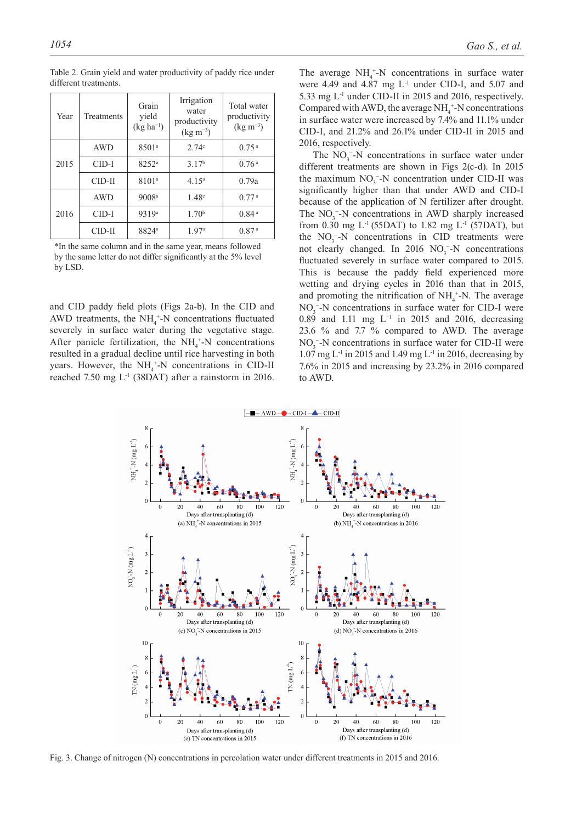| Year | Treatments | Grain<br>yield<br>$(kg ha^{-1})$ | Irrigation<br>water<br>productivity<br>$(\text{kg m}^{-3})$ | Total water<br>productivity<br>$(\text{kg m}^{-3})$ |  |
|------|------------|----------------------------------|-------------------------------------------------------------|-----------------------------------------------------|--|
|      | <b>AWD</b> | 8501 <sup>a</sup>                | 2.74c                                                       | 0.75 <sup>a</sup>                                   |  |
| 2015 | CID-I      | $8252^{\circ}$                   | 3.17 <sup>b</sup>                                           | 0.76a                                               |  |
|      | $CID-II$   | 8101 <sup>a</sup>                | 4.15 <sup>a</sup>                                           | 0.79a                                               |  |
|      | AWD        | 9008 <sup>a</sup>                | 1.48 <sup>c</sup>                                           | 0.77 <sup>a</sup>                                   |  |
| 2016 | CID-I      | 9319a                            | 1.70 <sup>b</sup>                                           | 0.84 <sup>a</sup>                                   |  |
|      | CID-II     | 8824 <sup>a</sup>                | 1.97 <sup>a</sup>                                           | 0.87 <sup>a</sup>                                   |  |

Table 2. Grain yield and water productivity of paddy rice under different treatments.

\*In the same column and in the same year, means followed by the same letter do not differ significantly at the 5% level by LSD.

and CID paddy field plots (Figs 2a-b). In the CID and AWD treatments, the  $NH_4^+$ -N concentrations fluctuated severely in surface water during the vegetative stage. After panicle fertilization, the  $NH_4^+$ -N concentrations resulted in a gradual decline until rice harvesting in both years. However, the  $NH_4^+$ -N concentrations in CID-II reached 7.50 mg L-1 (38DAT) after a rainstorm in 2016.

The average  $NH_4^+$ -N concentrations in surface water were 4.49 and 4.87 mg  $L^{-1}$  under CID-I, and 5.07 and 5.33 mg L-1 under CID-II in 2015 and 2016, respectively. Compared with AWD, the average  $NH<sub>4</sub><sup>+</sup>-N$  concentrations in surface water were increased by 7.4% and 11.1% under CID-I, and 21.2% and 26.1% under CID-II in 2015 and 2016, respectively.

The  $NO_3^-$ -N concentrations in surface water under different treatments are shown in Figs 2(c-d). In 2015 the maximum  $NO_3^-$ -N concentration under CID-II was significantly higher than that under AWD and CID-I because of the application of N fertilizer after drought. The  $NO<sub>3</sub><sup>-</sup>-N$  concentrations in AWD sharply increased from 0.30 mg L<sup>-1</sup> (55DAT) to 1.82 mg L<sup>-1</sup> (57DAT), but the  $NO_3^-$ -N concentrations in CID treatments were not clearly changed. In 2016  $NO<sub>3</sub><sup>-</sup>-N$  concentrations fluctuated severely in surface water compared to 2015. This is because the paddy field experienced more wetting and drying cycles in 2016 than that in 2015, and promoting the nitrification of  $NH_4^+$ -N. The average  $NO<sub>3</sub><sup>-</sup>-N$  concentrations in surface water for CID-I were 0.89 and 1.11 mg L−1 in 2015 and 2016, decreasing 23.6 % and 7.7 % compared to AWD. The average  $NO<sub>3</sub><sup>-</sup>-N$  concentrations in surface water for CID-II were 1.07 mg  $L^{-1}$  in 2015 and 1.49 mg  $L^{-1}$  in 2016, decreasing by 7.6% in 2015 and increasing by 23.2% in 2016 compared to AWD.



Fig. 3. Change of nitrogen (N) concentrations in percolation water under different treatments in 2015 and 2016.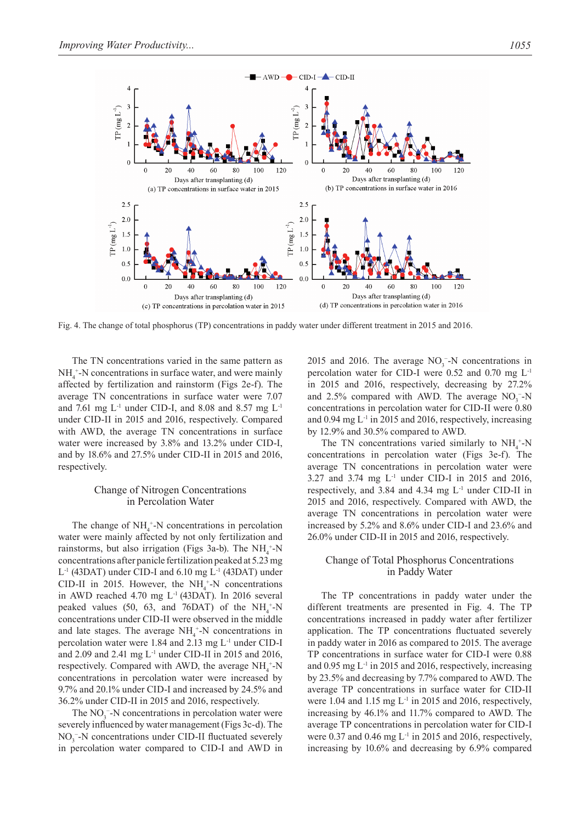

Fig. 4. The change of total phosphorus (TP) concentrations in paddy water under different treatment in 2015 and 2016.

The TN concentrations varied in the same pattern as  $NH<sub>4</sub><sup>+</sup>-N$  concentrations in surface water, and were mainly affected by fertilization and rainstorm (Figs 2e-f). The average TN concentrations in surface water were 7.07 and 7.61 mg  $L^{-1}$  under CID-I, and 8.08 and 8.57 mg  $L^{-1}$ under CID-II in 2015 and 2016, respectively. Compared with AWD, the average TN concentrations in surface water were increased by 3.8% and 13.2% under CID-I, and by 18.6% and 27.5% under CID-II in 2015 and 2016, respectively.

# Change of Nitrogen Concentrations in Percolation Water

The change of  $NH_4^+$ -N concentrations in percolation water were mainly affected by not only fertilization and rainstorms, but also irrigation (Figs 3a-b). The  $NH_4^+$ -N concentrations after panicle fertilization peaked at 5.23 mg  $L^{-1}$  (43DAT) under CID-I and 6.10 mg  $L^{-1}$  (43DAT) under CID-II in 2015. However, the  $NH_4^+$ -N concentrations in AWD reached 4.70 mg L-1 (43DAT). In 2016 several peaked values (50, 63, and 76DAT) of the  $NH_4^+$ -N concentrations under CID-II were observed in the middle and late stages. The average  $NH_4^+$ -N concentrations in percolation water were 1.84 and 2.13 mg L-1 under CID-I and 2.09 and 2.41 mg  $L^{-1}$  under CID-II in 2015 and 2016, respectively. Compared with AWD, the average  $NH_4^+$ -N concentrations in percolation water were increased by 9.7% and 20.1% under CID-I and increased by 24.5% and 36.2% under CID-II in 2015 and 2016, respectively.

The  $NO<sub>3</sub><sup>-</sup>-N$  concentrations in percolation water were severely influenced by water management (Figs 3c-d). The  $NO<sub>3</sub>$ <sup>-</sup>-N concentrations under CID-II fluctuated severely in percolation water compared to CID-I and AWD in

2015 and 2016. The average  $NO<sub>3</sub><sup>-</sup>-N$  concentrations in percolation water for CID-I were 0.52 and 0.70 mg L-1 in 2015 and 2016, respectively, decreasing by 27.2% and 2.5% compared with AWD. The average  $NO<sub>3</sub><sup>-</sup>N$ concentrations in percolation water for CID-II were 0.80 and  $0.94 \text{ mg } L^{-1}$  in 2015 and 2016, respectively, increasing by 12.9% and 30.5% compared to AWD.

The TN concentrations varied similarly to  $NH_4^+$ -N concentrations in percolation water (Figs 3e-f). The average TN concentrations in percolation water were 3.27 and 3.74 mg  $L^{-1}$  under CID-I in 2015 and 2016, respectively, and 3.84 and 4.34 mg  $L^{-1}$  under CID-II in 2015 and 2016, respectively. Compared with AWD, the average TN concentrations in percolation water were increased by 5.2% and 8.6% under CID-I and 23.6% and 26.0% under CID-II in 2015 and 2016, respectively.

# Change of Total Phosphorus Concentrations in Paddy Water

The TP concentrations in paddy water under the different treatments are presented in Fig. 4. The TP concentrations increased in paddy water after fertilizer application. The TP concentrations fluctuated severely in paddy water in 2016 as compared to 2015. The average TP concentrations in surface water for CID-I were 0.88 and 0.95 mg  $L<sup>1</sup>$  in 2015 and 2016, respectively, increasing by 23.5% and decreasing by 7.7% compared to AWD. The average TP concentrations in surface water for CID-II were 1.04 and 1.15 mg  $L^{-1}$  in 2015 and 2016, respectively, increasing by 46.1% and 11.7% compared to AWD. The average TP concentrations in percolation water for CID-I were  $0.37$  and  $0.46$  mg L<sup>-1</sup> in 2015 and 2016, respectively, increasing by 10.6% and decreasing by 6.9% compared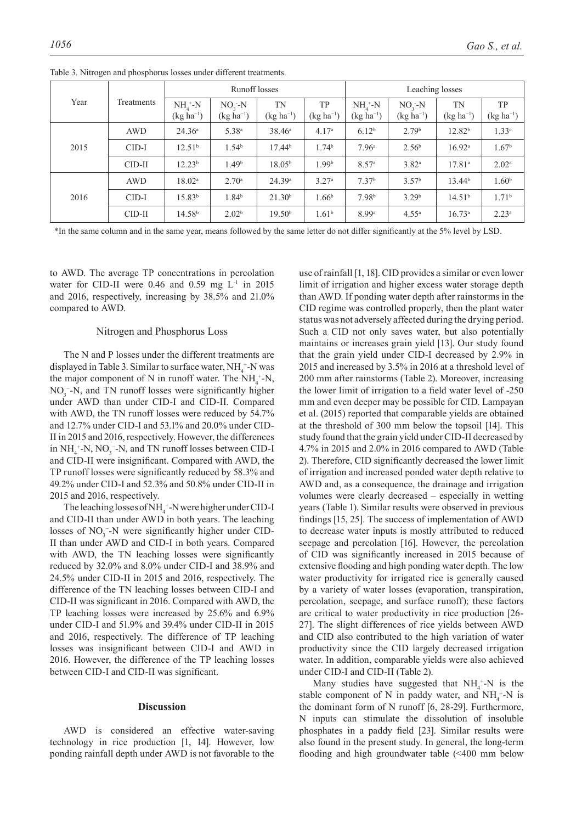|      | Treatments | <b>Runoff</b> losses            |                           |                      | Leaching losses             |                            |                           |                      |                             |
|------|------------|---------------------------------|---------------------------|----------------------|-----------------------------|----------------------------|---------------------------|----------------------|-----------------------------|
| Year |            | $NH_{4}^+$ -N<br>$(kg ha^{-1})$ | $NO2-N$<br>$(kg ha^{-1})$ | TN<br>$(kg ha^{-1})$ | <b>TP</b><br>$(kg ha^{-1})$ | $NH4+-N$<br>$(kg ha^{-1})$ | $NO3-N$<br>$(kg ha^{-1})$ | TN<br>$(kg ha^{-1})$ | <b>TP</b><br>$(kg ha^{-1})$ |
|      | <b>AWD</b> | 24.36 <sup>a</sup>              | 5.38 <sup>a</sup>         | $38.46^{\circ}$      | 4.17 <sup>a</sup>           | 6.12 <sup>b</sup>          | 2.79 <sup>b</sup>         | 12.82 <sup>b</sup>   | 1.33 <sup>c</sup>           |
| 2015 | $CID-I$    | 12.51 <sup>b</sup>              | 1.54 <sup>b</sup>         | 17.44 <sup>b</sup>   | 1.74 <sup>b</sup>           | 7.96 <sup>a</sup>          | 2.56 <sup>b</sup>         | 16.92 <sup>a</sup>   | 1.67 <sup>b</sup>           |
|      | $CID-II$   | 12.23 <sup>b</sup>              | 1.49 <sup>b</sup>         | 18.05 <sup>b</sup>   | 1.99 <sup>b</sup>           | 8.57 <sup>a</sup>          | $3.82^{\rm a}$            | 17.81 <sup>a</sup>   | $2.02^{\rm a}$              |
|      | <b>AWD</b> | $18.02^{\rm a}$                 | 2.70 <sup>a</sup>         | 24.39a               | 3.27 <sup>a</sup>           | 7.37 <sup>b</sup>          | 3.57 <sup>b</sup>         | 13.44 <sup>b</sup>   | 1.60 <sup>b</sup>           |
| 2016 | $CID-I$    | 15.83 <sup>b</sup>              | 1.84 <sup>b</sup>         | 21.30 <sup>b</sup>   | 1.66 <sup>b</sup>           | 7.98 <sup>b</sup>          | 3.29 <sup>b</sup>         | 14.51 <sup>b</sup>   | 1.71 <sup>b</sup>           |
|      | $CID-II$   | 14.58 <sup>b</sup>              | 2.02 <sup>b</sup>         | 19.50 <sup>b</sup>   | 1.61 <sup>b</sup>           | 8.99 <sup>a</sup>          | $4.55^{\rm a}$            | $16.73^{\circ}$      | $2.23^{\rm a}$              |

Table 3. Nitrogen and phosphorus losses under different treatments.

\*In the same column and in the same year, means followed by the same letter do not differ significantly at the 5% level by LSD.

to AWD. The average TP concentrations in percolation water for CID-II were  $0.46$  and  $0.59$  mg  $L^{-1}$  in 2015 and 2016, respectively, increasing by 38.5% and 21.0% compared to AWD.

#### Nitrogen and Phosphorus Loss

The N and P losses under the different treatments are displayed in Table 3. Similar to surface water,  $NH_4$ <sup>+</sup>-N was the major component of N in runoff water. The  $NH_4^+$ -N,  $NO<sub>3</sub>$ <sup>-</sup>-N, and TN runoff losses were significantly higher under AWD than under CID-I and CID-II. Compared with AWD, the TN runoff losses were reduced by 54.7% and 12.7% under CID-I and 53.1% and 20.0% under CID-II in 2015 and 2016, respectively. However, the differences in  $NH_4^+$ -N,  $NO_3^-$ -N, and TN runoff losses between CID-I and CID-II were insignificant. Compared with AWD, the TP runoff losses were significantly reduced by 58.3% and 49.2% under CID-I and 52.3% and 50.8% under CID-II in 2015 and 2016, respectively.

The leaching losses of  $NH_4^+$ -N were higher under CID-I and CID-II than under AWD in both years. The leaching losses of  $NO<sub>3</sub><sup>-</sup>-N$  were significantly higher under CID-II than under AWD and CID-I in both years. Compared with AWD, the TN leaching losses were significantly reduced by 32.0% and 8.0% under CID-I and 38.9% and 24.5% under CID-II in 2015 and 2016, respectively. The difference of the TN leaching losses between CID-I and CID-II was significant in 2016. Compared with AWD, the TP leaching losses were increased by 25.6% and 6.9% under CID-I and 51.9% and 39.4% under CID-II in 2015 and 2016, respectively. The difference of TP leaching losses was insignificant between CID-I and AWD in 2016. However, the difference of the TP leaching losses between CID-I and CID-II was significant.

#### **Discussion**

AWD is considered an effective water-saving technology in rice production [1, 14]. However, low ponding rainfall depth under AWD is not favorable to the use of rainfall [1, 18]. CID provides a similar or even lower limit of irrigation and higher excess water storage depth than AWD. If ponding water depth after rainstorms in the CID regime was controlled properly, then the plant water status was not adversely affected during the drying period. Such a CID not only saves water, but also potentially maintains or increases grain yield [13]. Our study found that the grain yield under CID-I decreased by 2.9% in 2015 and increased by 3.5% in 2016 at a threshold level of 200 mm after rainstorms (Table 2). Moreover, increasing the lower limit of irrigation to a field water level of -250 mm and even deeper may be possible for CID. Lampayan et al. (2015) reported that comparable yields are obtained at the threshold of 300 mm below the topsoil [14]. This study found that the grain yield under CID-II decreased by 4.7% in 2015 and 2.0% in 2016 compared to AWD (Table 2). Therefore, CID significantly decreased the lower limit of irrigation and increased ponded water depth relative to AWD and, as a consequence, the drainage and irrigation volumes were clearly decreased – especially in wetting years (Table 1). Similar results were observed in previous findings [15, 25]. The success of implementation of AWD to decrease water inputs is mostly attributed to reduced seepage and percolation [16]. However, the percolation of CID was significantly increased in 2015 because of extensive flooding and high ponding water depth. The low water productivity for irrigated rice is generally caused by a variety of water losses (evaporation, transpiration, percolation, seepage, and surface runoff); these factors are critical to water productivity in rice production [26- 27]. The slight differences of rice yields between AWD and CID also contributed to the high variation of water productivity since the CID largely decreased irrigation water. In addition, comparable yields were also achieved under CID-I and CID-II (Table 2).

Many studies have suggested that  $NH_4^+$ -N is the stable component of N in paddy water, and  $NH_4^+$ -N is the dominant form of N runoff [6, 28-29]. Furthermore, N inputs can stimulate the dissolution of insoluble phosphates in a paddy field [23]. Similar results were also found in the present study. In general, the long-term flooding and high groundwater table (<400 mm below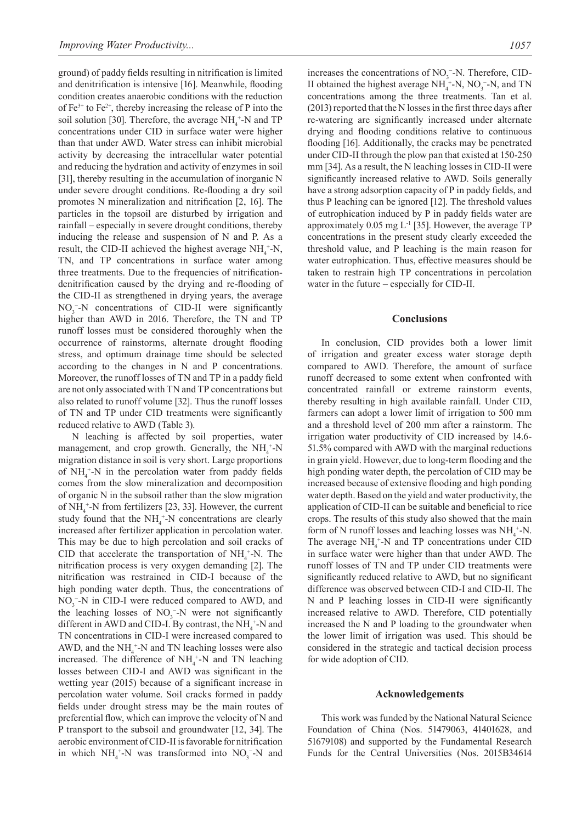ground) of paddy fields resulting in nitrification is limited and denitrification is intensive [16]. Meanwhile, flooding condition creates anaerobic conditions with the reduction of  $Fe^{3+}$  to  $Fe^{2+}$ , thereby increasing the release of P into the soil solution [30]. Therefore, the average  $NH_4^+$ -N and TP concentrations under CID in surface water were higher than that under AWD. Water stress can inhibit microbial activity by decreasing the intracellular water potential and reducing the hydration and activity of enzymes in soil [31], thereby resulting in the accumulation of inorganic N under severe drought conditions. Re-flooding a dry soil promotes N mineralization and nitrification [2, 16]. The particles in the topsoil are disturbed by irrigation and rainfall – especially in severe drought conditions, thereby inducing the release and suspension of N and P. As a result, the CID-II achieved the highest average  $NH_4^+$ -N, TN, and TP concentrations in surface water among three treatments. Due to the frequencies of nitrificationdenitrification caused by the drying and re-flooding of the CID-II as strengthened in drying years, the average  $NO<sub>3</sub><sup>-</sup>-N$  concentrations of CID-II were significantly higher than AWD in 2016. Therefore, the TN and TP runoff losses must be considered thoroughly when the occurrence of rainstorms, alternate drought flooding stress, and optimum drainage time should be selected according to the changes in N and P concentrations. Moreover, the runoff losses of TN and TP in a paddy field are not only associated with TN and TP concentrations but also related to runoff volume [32]. Thus the runoff losses of TN and TP under CID treatments were significantly reduced relative to AWD (Table 3).

N leaching is affected by soil properties, water management, and crop growth. Generally, the  $NH_4^+$ -N migration distance in soil is very short. Large proportions of  $NH_4^+$ -N in the percolation water from paddy fields comes from the slow mineralization and decomposition of organic N in the subsoil rather than the slow migration of  $NH<sub>4</sub><sup>+</sup>-N$  from fertilizers [23, 33]. However, the current study found that the  $NH_4^+$ -N concentrations are clearly increased after fertilizer application in percolation water. This may be due to high percolation and soil cracks of CID that accelerate the transportation of  $NH_4^+$ -N. The nitrification process is very oxygen demanding [2]. The nitrification was restrained in CID-I because of the high ponding water depth. Thus, the concentrations of  $NO<sub>3</sub>$ <sup>-</sup>-N in CID-I were reduced compared to AWD, and the leaching losses of  $NO<sub>3</sub><sup>-</sup>-N$  were not significantly different in AWD and CID-I. By contrast, the  $NH<sub>4</sub><sup>+</sup>-N$  and TN concentrations in CID-I were increased compared to AWD, and the  $NH_4^+$ -N and TN leaching losses were also increased. The difference of  $NH_4^+$ -N and TN leaching losses between CID-I and AWD was significant in the wetting year (2015) because of a significant increase in percolation water volume. Soil cracks formed in paddy fields under drought stress may be the main routes of preferential flow, which can improve the velocity of N and P transport to the subsoil and groundwater [12, 34]. The aerobic environment of CID-II is favorable for nitrification in which  $NH_4^+$ -N was transformed into  $NO_3^-$ -N and

increases the concentrations of  $NO<sub>3</sub><sup>-</sup>-N$ . Therefore, CID-II obtained the highest average  $NH_4^+$ -N,  $NO_3^-$ -N, and TN concentrations among the three treatments. Tan et al. (2013) reported that the N losses in the first three days after re-watering are significantly increased under alternate drying and flooding conditions relative to continuous flooding [16]. Additionally, the cracks may be penetrated under CID-II through the plow pan that existed at 150-250 mm [34]. As a result, the N leaching losses in CID-II were significantly increased relative to AWD. Soils generally have a strong adsorption capacity of P in paddy fields, and thus P leaching can be ignored [12]. The threshold values of eutrophication induced by P in paddy fields water are approximately  $0.05$  mg  $L^{-1}$  [35]. However, the average TP concentrations in the present study clearly exceeded the threshold value, and P leaching is the main reason for water eutrophication. Thus, effective measures should be taken to restrain high TP concentrations in percolation water in the future – especially for CID-II.

## **Conclusions**

In conclusion, CID provides both a lower limit of irrigation and greater excess water storage depth compared to AWD. Therefore, the amount of surface runoff decreased to some extent when confronted with concentrated rainfall or extreme rainstorm events, thereby resulting in high available rainfall. Under CID, farmers can adopt a lower limit of irrigation to 500 mm and a threshold level of 200 mm after a rainstorm. The irrigation water productivity of CID increased by 14.6- 51.5% compared with AWD with the marginal reductions in grain yield. However, due to long-term flooding and the high ponding water depth, the percolation of CID may be increased because of extensive flooding and high ponding water depth. Based on the yield and water productivity, the application of CID-II can be suitable and beneficial to rice crops. The results of this study also showed that the main form of N runoff losses and leaching losses was  $NH_4^+$ -N. The average  $NH_4^+$ -N and TP concentrations under CID in surface water were higher than that under AWD. The runoff losses of TN and TP under CID treatments were significantly reduced relative to AWD, but no significant difference was observed between CID-I and CID-II. The N and P leaching losses in CID-II were significantly increased relative to AWD. Therefore, CID potentially increased the N and P loading to the groundwater when the lower limit of irrigation was used. This should be considered in the strategic and tactical decision process for wide adoption of CID.

#### **Acknowledgements**

This work was funded by the National Natural Science Foundation of China (Nos. 51479063, 41401628, and 51679108) and supported by the Fundamental Research Funds for the Central Universities (Nos. 2015B34614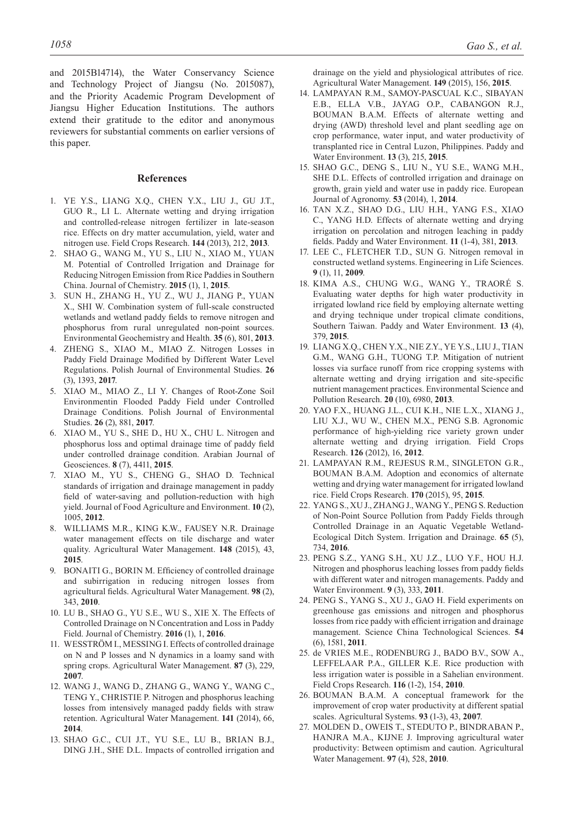and 2015B14714), the Water Conservancy Science and Technology Project of Jiangsu (No. 2015087), and the Priority Academic Program Development of Jiangsu Higher Education Institutions. The authors extend their gratitude to the editor and anonymous reviewers for substantial comments on earlier versions of this paper.

# **References**

- 1. YE Y.S., LIANG X.Q., CHEN Y.X., LIU J., GU J.T., GUO R., LI L. Alternate wetting and drying irrigation and controlled-release nitrogen fertilizer in late-season rice. Effects on dry matter accumulation, yield, water and nitrogen use. Field Crops Research. **144** (2013), 212, **2013**.
- 2. SHAO G., WANG M., YU S., LIU N., XIAO M., YUAN M. Potential of Controlled Irrigation and Drainage for Reducing Nitrogen Emission from Rice Paddies in Southern China. Journal of Chemistry. **2015** (1), 1, **2015**.
- 3. SUN H., ZHANG H., YU Z., WU J., JIANG P., YUAN X., SHI W. Combination system of full-scale constructed wetlands and wetland paddy fields to remove nitrogen and phosphorus from rural unregulated non-point sources. Environmental Geochemistry and Health. **35** (6), 801, **2013**.
- 4. ZHENG S., XIAO M., MIAO Z. Nitrogen Losses in Paddy Field Drainage Modified by Different Water Level Regulations. Polish Journal of Environmental Studies. **26** (3), 1393, **2017**.
- 5. XIAO M., MIAO Z., LI Y. Changes of Root-Zone Soil Environmentin Flooded Paddy Field under Controlled Drainage Conditions. Polish Journal of Environmental Studies. **26** (2), 881, **2017**.
- 6. XIAO M., YU S., SHE D., HU X., CHU L. Nitrogen and phosphorus loss and optimal drainage time of paddy field under controlled drainage condition. Arabian Journal of Geosciences. **8** (7), 4411, **2015**.
- 7. XIAO M., YU S., CHENG G., SHAO D. Technical standards of irrigation and drainage management in paddy field of water-saving and pollution-reduction with high yield. Journal of Food Agriculture and Environment. **10** (2), 1005, **2012**.
- 8. WILLIAMS M.R., KING K.W., FAUSEY N.R. Drainage water management effects on tile discharge and water quality. Agricultural Water Management. **148** (2015), 43, **2015**.
- BONAITI G., BORIN M. Efficiency of controlled drainage and subirrigation in reducing nitrogen losses from agricultural fields. Agricultural Water Management. **98** (2), 343, **2010**.
- 10. LU B., SHAO G., YU S.E., WU S., XIE X. The Effects of Controlled Drainage on N Concentration and Loss in Paddy Field. Journal of Chemistry. **2016** (1), 1, **2016**.
- 11. WESSTRÖM I., MESSING I. Effects of controlled drainage on N and P losses and N dynamics in a loamy sand with spring crops. Agricultural Water Management. **87** (3), 229, **2007**.
- 12. WANG J., WANG D., ZHANG G., WANG Y., WANG C., TENG Y., CHRISTIE P. Nitrogen and phosphorus leaching losses from intensively managed paddy fields with straw retention. Agricultural Water Management. **141** (2014), 66, **2014**.
- 13. SHAO G.C., CUI J.T., YU S.E., LU B., BRIAN B.J., DING J.H., SHE D.L. Impacts of controlled irrigation and

drainage on the yield and physiological attributes of rice. Agricultural Water Management. **149** (2015), 156, **2015**.

- 14. LAMPAYAN R.M., SAMOY-PASCUAL K.C., SIBAYAN E.B., ELLA V.B., JAYAG O.P., CABANGON R.J., BOUMAN B.A.M. Effects of alternate wetting and drying (AWD) threshold level and plant seedling age on crop performance, water input, and water productivity of transplanted rice in Central Luzon, Philippines. Paddy and Water Environment. **13** (3), 215, **2015**.
- 15. SHAO G.C., DENG S., LIU N., YU S.E., WANG M.H., SHE D.L. Effects of controlled irrigation and drainage on growth, grain yield and water use in paddy rice. European Journal of Agronomy. **53** (2014), 1, **2014**.
- 16. TAN X.Z., SHAO D.G., LIU H.H., YANG F.S., XIAO C., YANG H.D. Effects of alternate wetting and drying irrigation on percolation and nitrogen leaching in paddy fields. Paddy and Water Environment. **11** (1-4), 381, **2013**.
- 17. LEE C., FLETCHER T.D., SUN G. Nitrogen removal in constructed wetland systems. Engineering in Life Sciences. **9** (1), 11, **2009**.
- 18. KIMA A.S., CHUNG W.G., WANG Y., TRAORÉ S. Evaluating water depths for high water productivity in irrigated lowland rice field by employing alternate wetting and drying technique under tropical climate conditions, Southern Taiwan. Paddy and Water Environment. **13** (4), 379, **2015**.
- 19. LIANG X.Q., CHEN Y.X., NIE Z.Y., YE Y.S., LIU J., TIAN G.M., WANG G.H., TUONG T.P. Mitigation of nutrient losses via surface runoff from rice cropping systems with alternate wetting and drying irrigation and site-specific nutrient management practices. Environmental Science and Pollution Research. **20** (10), 6980, **2013**.
- 20. YAO F.X., HUANG J.L., CUI K.H., NIE L.X., XIANG J., LIU X.J., WU W., CHEN M.X., PENG S.B. Agronomic performance of high-yielding rice variety grown under alternate wetting and drying irrigation. Field Crops Research. **126** (2012), 16, **2012**.
- 21. LAMPAYAN R.M., REJESUS R.M., SINGLETON G.R., BOUMAN B.A.M. Adoption and economics of alternate wetting and drying water management for irrigated lowland rice. Field Crops Research. **170** (2015), 95, **2015**.
- 22. YANG S., XU J., ZHANG J., WANG Y., PENG S. Reduction of Non-Point Source Pollution from Paddy Fields through Controlled Drainage in an Aquatic Vegetable Wetland-Ecological Ditch System. Irrigation and Drainage. **65** (5), 734, **2016**.
- 23. PENG S.Z., YANG S.H., XU J.Z., LUO Y.F., HOU H.J. Nitrogen and phosphorus leaching losses from paddy fields with different water and nitrogen managements. Paddy and Water Environment. **9** (3), 333, **2011**.
- 24. PENG S., YANG S., XU J., GAO H. Field experiments on greenhouse gas emissions and nitrogen and phosphorus losses from rice paddy with efficient irrigation and drainage management. Science China Technological Sciences. **54** (6), 1581, **2011**.
- 25. de VRIES M.E., RODENBURG J., BADO B.V., SOW A., LEFFELAAR P.A., GILLER K.E. Rice production with less irrigation water is possible in a Sahelian environment. Field Crops Research. **116** (1-2), 154, **2010**.
- 26. BOUMAN B.A.M. A conceptual framework for the improvement of crop water productivity at different spatial scales. Agricultural Systems. **93** (1-3), 43, **2007**.
- 27. MOLDEN D., OWEIS T., STEDUTO P., BINDRABAN P., HANJRA M.A., KIJNE J. Improving agricultural water productivity: Between optimism and caution. Agricultural Water Management. **97** (4), 528, **2010**.